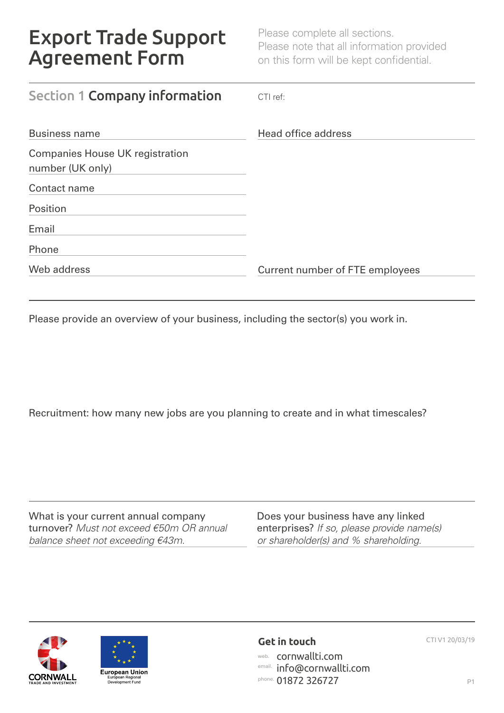Please complete all sections. Please note that all information provided on this form will be kept confidential.

| Section 1 Company information          | $CTI$ ref:                      |
|----------------------------------------|---------------------------------|
| <b>Business name</b>                   | Head office address             |
| <b>Companies House UK registration</b> |                                 |
| number (UK only)                       |                                 |
| Contact name                           |                                 |
| Position                               |                                 |
| Email                                  |                                 |
| Phone                                  |                                 |
| Web address                            | Current number of FTE employees |

Please provide an overview of your business, including the sector(s) you work in.

Recruitment: how many new jobs are you planning to create and in what timescales?

What is your current annual company turnover? *Must not exceed €50m OR annual balance sheet not exceeding €43m.*

Does your business have any linked enterprises? *If so, please provide name(s) or shareholder(s) and % shareholding.*





# **Get in touch** CTI V1 20/03/19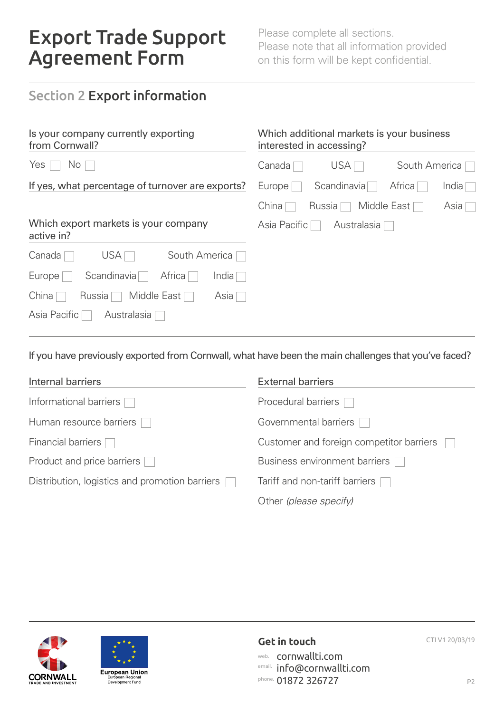Please complete all sections. Please note that all information provided on this form will be kept confidential.

### Section 2 Export information

| Is your company currently exporting<br>from Cornwall? | Which additional markets is your business<br>interested in accessing? |
|-------------------------------------------------------|-----------------------------------------------------------------------|
| Yes<br>$\mathsf{No} \ \Box$                           | USA  <br>South America<br>Canada                                      |
| If yes, what percentage of turnover are exports?      | Scandinavia<br>Africa<br>Europe <sup>[</sup><br>India <sub>l</sub>    |
|                                                       | Middle East<br>China  <br>Russia [<br>Asia                            |
| Which export markets is your company<br>active in?    | Asia Pacific<br>Australasia                                           |
| <b>USA</b><br>South America<br>Canada                 |                                                                       |
| Scandinavia<br>Africa<br>Europe <sup>[</sup><br>India |                                                                       |
| China<br>Russia [<br>Middle East<br>Asia              |                                                                       |
| Asia Pacific<br>Australasia                           |                                                                       |

If you have previously exported from Cornwall, what have been the main challenges that you've faced?

| Internal barriers                              | <b>External barriers</b>                 |
|------------------------------------------------|------------------------------------------|
| Informational barriers                         | Procedural barriers [                    |
| Human resource barriers                        | Governmental barriers                    |
| Financial barriers [                           | Customer and foreign competitor barriers |
| Product and price barriers [                   | Business environment barriers            |
| Distribution, logistics and promotion barriers | Tariff and non-tariff barriers           |
|                                                | Other (please specify)                   |





## **Get in touch** CTI V1 20/03/19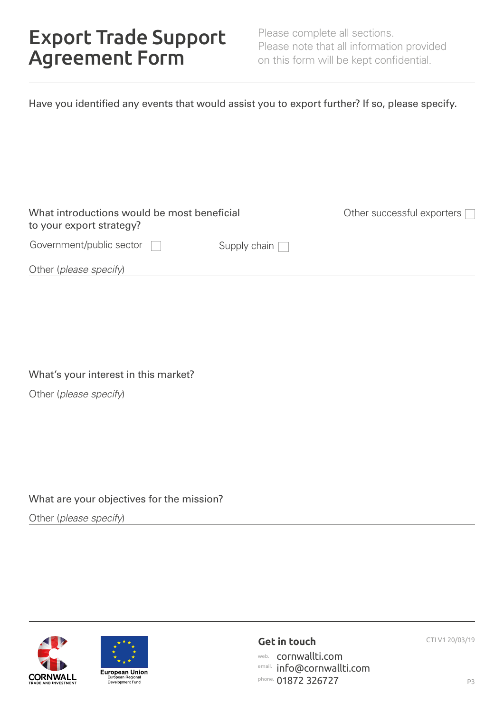Please complete all sections. Please note that all information provided on this form will be kept confidential.

| Have you identified any events that would assist you to export further? If so, please specify. |  |  |
|------------------------------------------------------------------------------------------------|--|--|
|                                                                                                |  |  |
|                                                                                                |  |  |

| What introductions would be most beneficial<br>to your export strategy? |                     | Other successful exporters $\Box$ |
|-------------------------------------------------------------------------|---------------------|-----------------------------------|
| Government/public sector                                                | Supply chain $\Box$ |                                   |
| Other (please specify)                                                  |                     |                                   |

#### What's your interest in this market?

Other (*please specify*)

### What are your objectives for the mission?

Other (*please specify*)





### **Get in touch** CTI V1 20/03/19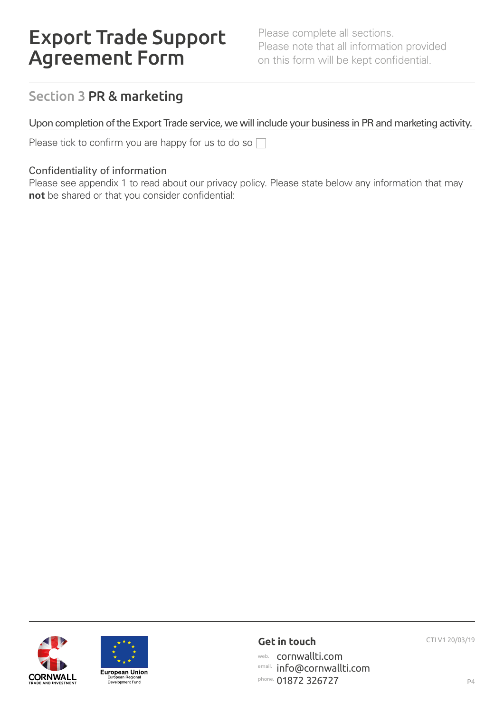Please complete all sections. Please note that all information provided on this form will be kept confidential.

### Section 3 PR & marketing

Upon completion of the Export Trade service, we will include your business in PR and marketing activity.

Please tick to confirm you are happy for us to do so  $\Box$ 

#### Confidentiality of information

Please see appendix 1 to read about our privacy policy. Please state below any information that may **not** be shared or that you consider confidential:





### **Get in touch** CTI V1 20/03/19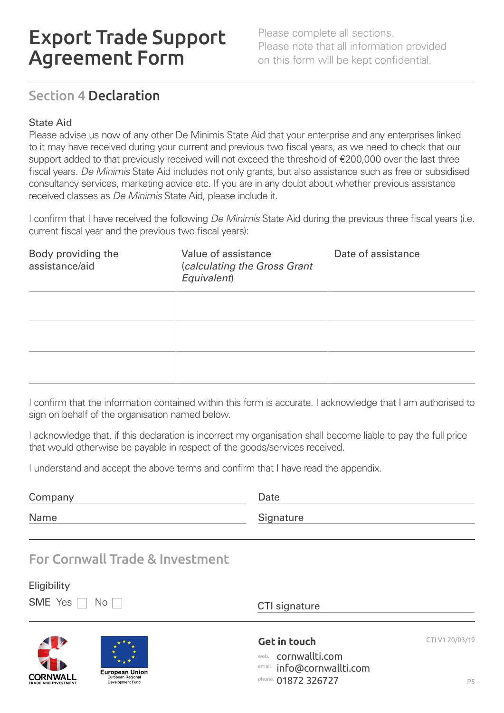Please complete all sections. Please note that all information provided on this form will be kept confidential.

### Section 4 Declaration

### State Aid

Please advise us now of any other De Minimis State Aid that your enterprise and any enterprises linked to it may have received during your current and previous two fiscal years, as we need to check that our support added to that previously received will not exceed the threshold of €200,000 over the last three fiscal years. *De Minimis* State Aid includes not only grants, but also assistance such as free or subsidised consultancy services, marketing advice etc. If you are in any doubt about whether previous assistance received classes as *De Minimis* State Aid, please include it.

I confirm that I have received the following *De Minimis* State Aid during the previous three fiscal years (i.e. current fiscal year and the previous two fiscal years):

| Body providing the<br>assistance/aid | Value of assistance<br>(calculating the Gross Grant<br>Equivalent) | Date of assistance |
|--------------------------------------|--------------------------------------------------------------------|--------------------|
|                                      |                                                                    |                    |
|                                      |                                                                    |                    |
|                                      |                                                                    |                    |

I confirm that the information contained within this form is accurate. I acknowledge that I am authorised to sign on behalf of the organisation named below.

I acknowledge that, if this declaration is incorrect my organisation shall become liable to pay the full price that would otherwise be payable in respect of the goods/services received.

I understand and accept the above terms and confirm that I have read the appendix.

| Company | Date      |
|---------|-----------|
| Name    | Signature |
|         |           |

### For Cornwall Trade & Investment

### **Eligibility**

 $SME$  Yes  $\Box$  No

CTI signature

**Get in touch** CTI V1 20/03/19 web. cornwallti.com email. info@cornwallti.com phone. 01872 326727



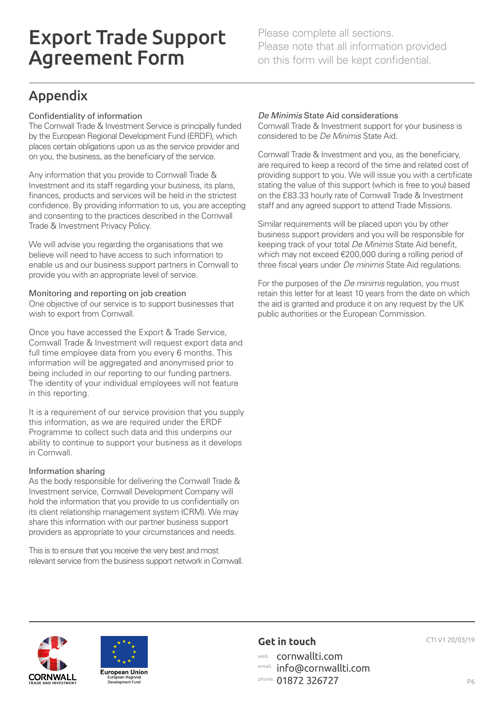Please complete all sections. Please note that all information provided on this form will be kept confidential.

## Appendix

#### Confidentiality of information

The Cornwall Trade & Investment Service is principally funded by the European Regional Development Fund (ERDF), which places certain obligations upon us as the service provider and on you, the business, as the beneficiary of the service.

Any information that you provide to Cornwall Trade & Investment and its staff regarding your business, its plans, finances, products and services will be held in the strictest confidence. By providing information to us, you are accepting and consenting to the practices described in the Cornwall Trade & Investment Privacy Policy.

We will advise you regarding the organisations that we believe will need to have access to such information to enable us and our business support partners in Cornwall to provide you with an appropriate level of service.

#### Monitoring and reporting on job creation

One objective of our service is to support businesses that wish to export from Cornwall.

Once you have accessed the Export & Trade Service, Cornwall Trade & Investment will request export data and full time employee data from you every 6 months. This information will be aggregated and anonymised prior to being included in our reporting to our funding partners. The identity of your individual employees will not feature in this reporting.

It is a requirement of our service provision that you supply this information, as we are required under the ERDF Programme to collect such data and this underpins our ability to continue to support your business as it develops in Cornwall.

#### Information sharing

As the body responsible for delivering the Cornwall Trade & Investment service, Cornwall Development Company will hold the information that you provide to us confidentially on its client relationship management system (CRM). We may share this information with our partner business support providers as appropriate to your circumstances and needs.

This is to ensure that you receive the very best and most relevant service from the business support network in Cornwall.

#### *De Minimis* State Aid considerations

Cornwall Trade & Investment support for your business is considered to be *De Minimis* State Aid.

Cornwall Trade & Investment and you, as the beneficiary, are required to keep a record of the time and related cost of providing support to you. We will issue you with a certificate stating the value of this support (which is free to you) based on the £83.33 hourly rate of Cornwall Trade & Investment staff and any agreed support to attend Trade Missions.

Similar requirements will be placed upon you by other business support providers and you will be responsible for keeping track of your total *De Minimis* State Aid benefit, which may not exceed €200,000 during a rolling period of three fiscal years under *De minimis* State Aid regulations.

For the purposes of the *De minimis* regulation, you must retain this letter for at least 10 years from the date on which the aid is granted and produce it on any request by the UK public authorities or the European Commission.





### **Get in touch** CTI V1 20/03/19